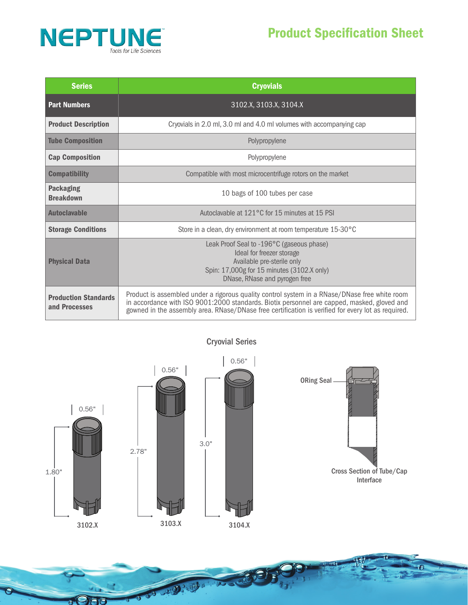

| <b>Series</b>                                | <b>Cryovials</b>                                                                                                                                                                                                                                                                                   |
|----------------------------------------------|----------------------------------------------------------------------------------------------------------------------------------------------------------------------------------------------------------------------------------------------------------------------------------------------------|
| <b>Part Numbers</b>                          | 3102.X, 3103.X, 3104.X                                                                                                                                                                                                                                                                             |
| <b>Product Description</b>                   | Cryovials in 2.0 ml, 3.0 ml and 4.0 ml volumes with accompanying cap                                                                                                                                                                                                                               |
| <b>Tube Composition</b>                      | Polypropylene                                                                                                                                                                                                                                                                                      |
| <b>Cap Composition</b>                       | Polypropylene                                                                                                                                                                                                                                                                                      |
| <b>Compatibility</b>                         | Compatible with most microcentrifuge rotors on the market                                                                                                                                                                                                                                          |
| <b>Packaging</b><br><b>Breakdown</b>         | 10 bags of 100 tubes per case                                                                                                                                                                                                                                                                      |
| <b>Autoclavable</b>                          | Autoclavable at 121 °C for 15 minutes at 15 PSI                                                                                                                                                                                                                                                    |
| <b>Storage Conditions</b>                    | Store in a clean, dry environment at room temperature 15-30°C                                                                                                                                                                                                                                      |
| <b>Physical Data</b>                         | Leak Proof Seal to -196°C (gaseous phase)<br>Ideal for freezer storage<br>Available pre-sterile only<br>Spin: 17,000g for 15 minutes (3102.X only)<br>DNase, RNase and pyrogen free                                                                                                                |
| <b>Production Standards</b><br>and Processes | Product is assembled under a rigorous quality control system in a RNase/DNase free white room<br>in accordance with ISO 9001:2000 standards. Biotix personnel are capped, masked, gloved and<br>gowned in the assembly area. RNase/DNase free certification is verified for every lot as required. |



30 B. Ba

 $\overline{\sigma}$ 

Cryovial Series